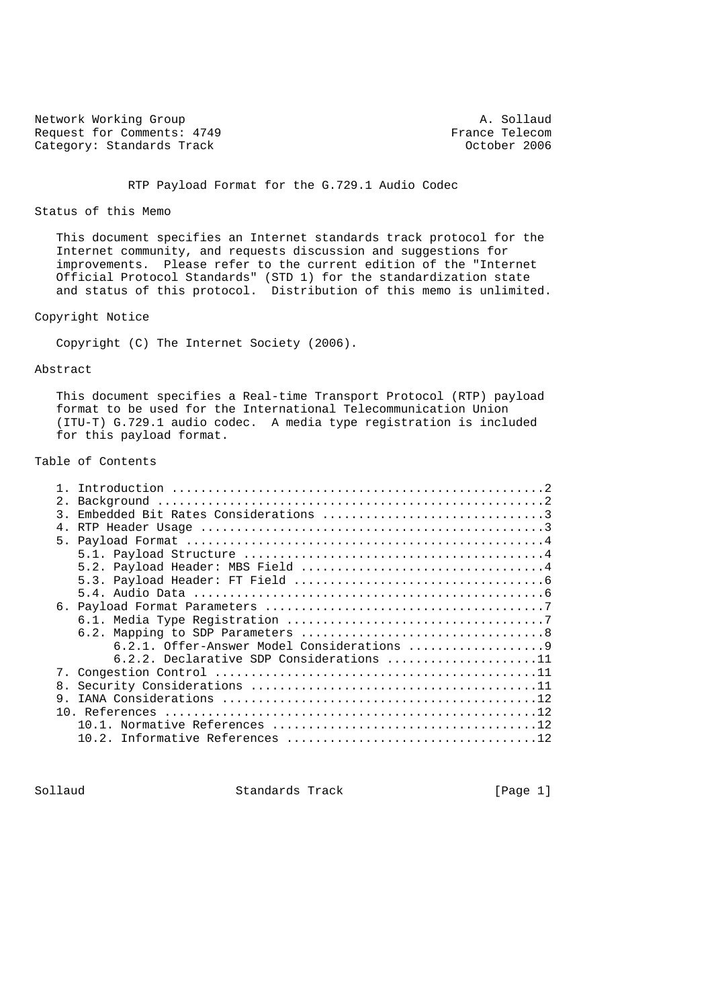Network Working Group<br>Request for Comments: 4749 Trance Telecom Request for Comments: 4749 France Telecom<br>
Category: Standards Track Category: Standards Track Category: Standards Track

RTP Payload Format for the G.729.1 Audio Codec

#### Status of this Memo

 This document specifies an Internet standards track protocol for the Internet community, and requests discussion and suggestions for improvements. Please refer to the current edition of the "Internet Official Protocol Standards" (STD 1) for the standardization state and status of this protocol. Distribution of this memo is unlimited.

### Copyright Notice

Copyright (C) The Internet Society (2006).

### Abstract

 This document specifies a Real-time Transport Protocol (RTP) payload format to be used for the International Telecommunication Union (ITU-T) G.729.1 audio codec. A media type registration is included for this payload format.

# Table of Contents

| $2$ .         |                                            |
|---------------|--------------------------------------------|
| $\mathcal{R}$ |                                            |
| 4.            |                                            |
|               |                                            |
|               |                                            |
|               |                                            |
|               |                                            |
|               |                                            |
|               |                                            |
|               |                                            |
|               |                                            |
|               |                                            |
|               | $6.2.2.$ Declarative SDP Considerations 11 |
|               |                                            |
| 8.            |                                            |
| 9.            |                                            |
|               |                                            |
|               | 10 1                                       |
|               |                                            |
|               |                                            |

Sollaud Standards Track [Page 1]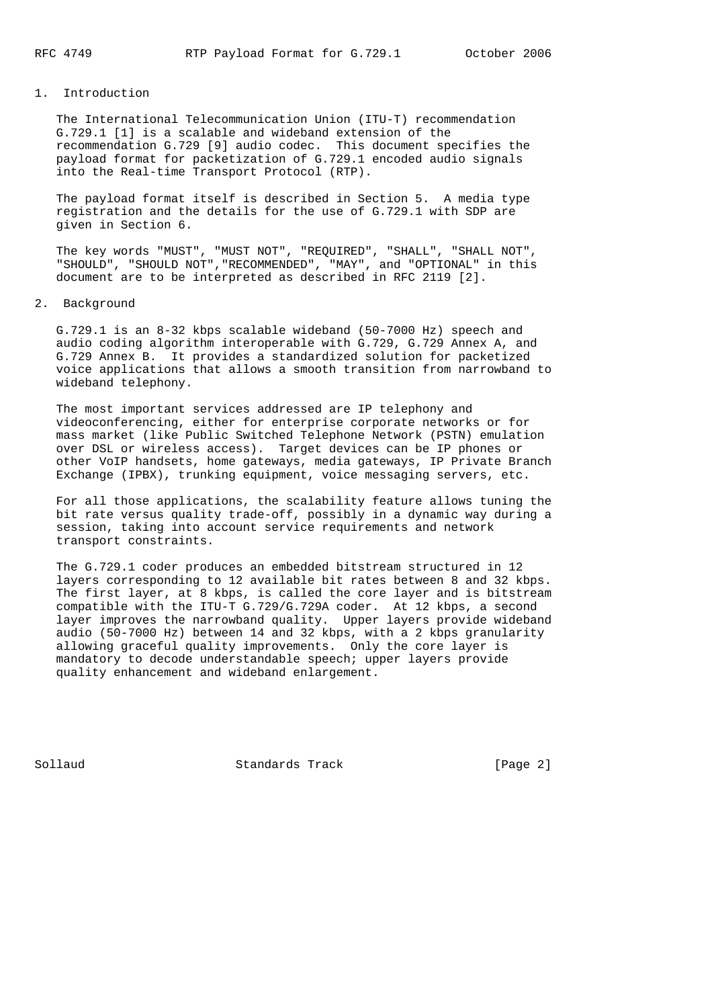## 1. Introduction

 The International Telecommunication Union (ITU-T) recommendation G.729.1 [1] is a scalable and wideband extension of the recommendation G.729 [9] audio codec. This document specifies the payload format for packetization of G.729.1 encoded audio signals into the Real-time Transport Protocol (RTP).

 The payload format itself is described in Section 5. A media type registration and the details for the use of G.729.1 with SDP are given in Section 6.

 The key words "MUST", "MUST NOT", "REQUIRED", "SHALL", "SHALL NOT", "SHOULD", "SHOULD NOT","RECOMMENDED", "MAY", and "OPTIONAL" in this document are to be interpreted as described in RFC 2119 [2].

#### 2. Background

 G.729.1 is an 8-32 kbps scalable wideband (50-7000 Hz) speech and audio coding algorithm interoperable with G.729, G.729 Annex A, and G.729 Annex B. It provides a standardized solution for packetized voice applications that allows a smooth transition from narrowband to wideband telephony.

 The most important services addressed are IP telephony and videoconferencing, either for enterprise corporate networks or for mass market (like Public Switched Telephone Network (PSTN) emulation over DSL or wireless access). Target devices can be IP phones or other VoIP handsets, home gateways, media gateways, IP Private Branch Exchange (IPBX), trunking equipment, voice messaging servers, etc.

 For all those applications, the scalability feature allows tuning the bit rate versus quality trade-off, possibly in a dynamic way during a session, taking into account service requirements and network transport constraints.

 The G.729.1 coder produces an embedded bitstream structured in 12 layers corresponding to 12 available bit rates between 8 and 32 kbps. The first layer, at 8 kbps, is called the core layer and is bitstream compatible with the ITU-T G.729/G.729A coder. At 12 kbps, a second layer improves the narrowband quality. Upper layers provide wideband audio (50-7000 Hz) between 14 and 32 kbps, with a 2 kbps granularity allowing graceful quality improvements. Only the core layer is mandatory to decode understandable speech; upper layers provide quality enhancement and wideband enlargement.

Sollaud **Standards Track** [Page 2]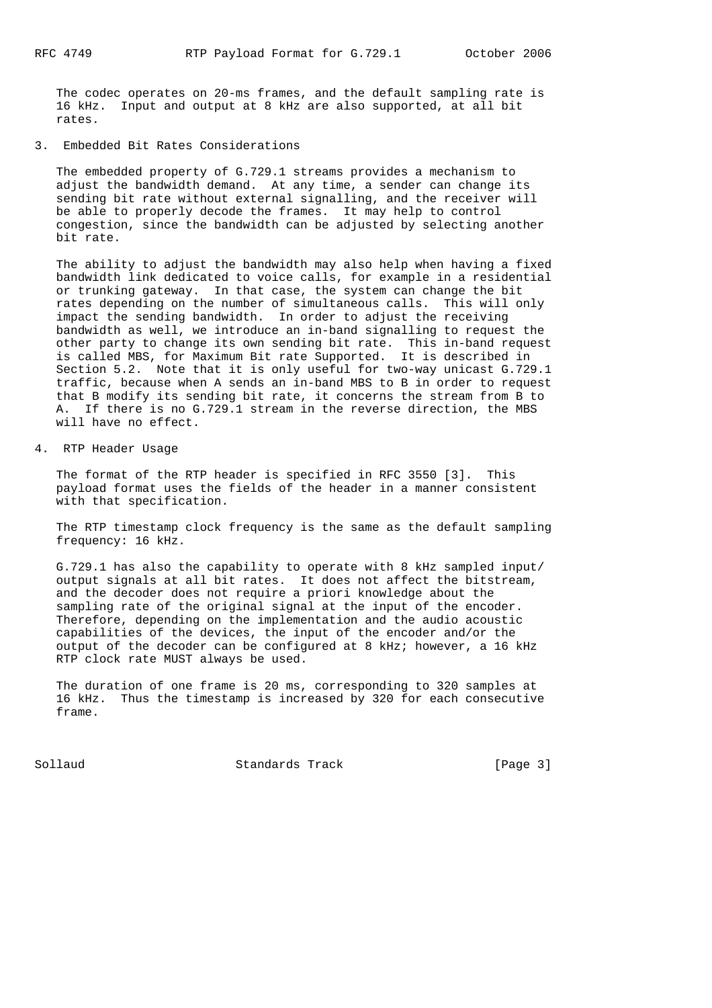The codec operates on 20-ms frames, and the default sampling rate is 16 kHz. Input and output at 8 kHz are also supported, at all bit rates.

3. Embedded Bit Rates Considerations

 The embedded property of G.729.1 streams provides a mechanism to adjust the bandwidth demand. At any time, a sender can change its sending bit rate without external signalling, and the receiver will be able to properly decode the frames. It may help to control congestion, since the bandwidth can be adjusted by selecting another bit rate.

 The ability to adjust the bandwidth may also help when having a fixed bandwidth link dedicated to voice calls, for example in a residential or trunking gateway. In that case, the system can change the bit rates depending on the number of simultaneous calls. This will only impact the sending bandwidth. In order to adjust the receiving bandwidth as well, we introduce an in-band signalling to request the other party to change its own sending bit rate. This in-band request is called MBS, for Maximum Bit rate Supported. It is described in Section 5.2. Note that it is only useful for two-way unicast G.729.1 traffic, because when A sends an in-band MBS to B in order to request that B modify its sending bit rate, it concerns the stream from B to A. If there is no G.729.1 stream in the reverse direction, the MBS will have no effect.

4. RTP Header Usage

 The format of the RTP header is specified in RFC 3550 [3]. This payload format uses the fields of the header in a manner consistent with that specification.

 The RTP timestamp clock frequency is the same as the default sampling frequency: 16 kHz.

 G.729.1 has also the capability to operate with 8 kHz sampled input/ output signals at all bit rates. It does not affect the bitstream, and the decoder does not require a priori knowledge about the sampling rate of the original signal at the input of the encoder. Therefore, depending on the implementation and the audio acoustic capabilities of the devices, the input of the encoder and/or the output of the decoder can be configured at 8 kHz; however, a 16 kHz RTP clock rate MUST always be used.

 The duration of one frame is 20 ms, corresponding to 320 samples at 16 kHz. Thus the timestamp is increased by 320 for each consecutive frame.

Sollaud **Standards Track** [Page 3]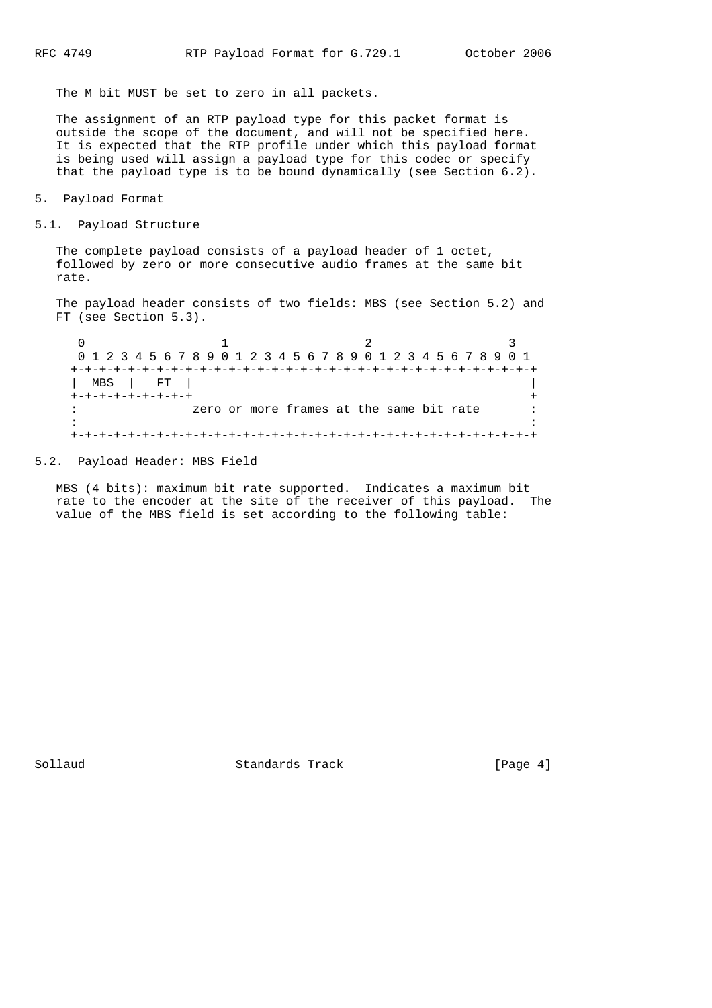The M bit MUST be set to zero in all packets.

 The assignment of an RTP payload type for this packet format is outside the scope of the document, and will not be specified here. It is expected that the RTP profile under which this payload format is being used will assign a payload type for this codec or specify that the payload type is to be bound dynamically (see Section 6.2).

```
5. Payload Format
```

```
5.1. Payload Structure
```
 The complete payload consists of a payload header of 1 octet, followed by zero or more consecutive audio frames at the same bit rate.

 The payload header consists of two fields: MBS (see Section 5.2) and FT (see Section 5.3).

 $0$  and  $1$  and  $2$  3 0 1 2 3 4 5 6 7 8 9 0 1 2 3 4 5 6 7 8 9 0 1 2 3 4 5 6 7 8 9 0 1 +-+-+-+-+-+-+-+-+-+-+-+-+-+-+-+-+-+-+-+-+-+-+-+-+-+-+-+-+-+-+-+-+ | MBS | FT | | +-+-+-+-+-+-+-+<br>: zero or more frames at the same bit rate : zero or more frames at the same bit rate in the state of the state of the state of the state of the state of the state of the state of the state of the +-+-+-+-+-+-+-+-+-+-+-+-+-+-+-+-+-+-+-+-+-+-+-+-+-+-+-+-+-+-+-+-+

### 5.2. Payload Header: MBS Field

 MBS (4 bits): maximum bit rate supported. Indicates a maximum bit rate to the encoder at the site of the receiver of this payload. The value of the MBS field is set according to the following table:

Sollaud **Standards Track** [Page 4]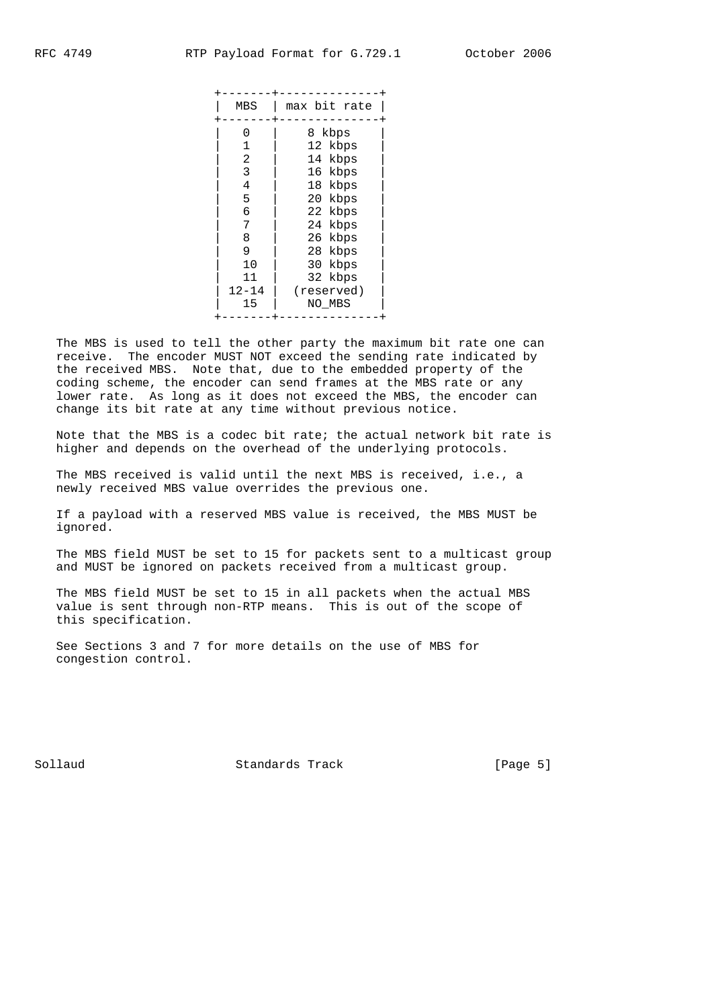The MBS is used to tell the other party the maximum bit rate one can receive. The encoder MUST NOT exceed the sending rate indicated by the received MBS. Note that, due to the embedded property of the coding scheme, the encoder can send frames at the MBS rate or any lower rate. As long as it does not exceed the MBS, the encoder can change its bit rate at any time without previous notice.

 Note that the MBS is a codec bit rate; the actual network bit rate is higher and depends on the overhead of the underlying protocols.

 The MBS received is valid until the next MBS is received, i.e., a newly received MBS value overrides the previous one.

 If a payload with a reserved MBS value is received, the MBS MUST be ignored.

 The MBS field MUST be set to 15 for packets sent to a multicast group and MUST be ignored on packets received from a multicast group.

 The MBS field MUST be set to 15 in all packets when the actual MBS value is sent through non-RTP means. This is out of the scope of this specification.

 See Sections 3 and 7 for more details on the use of MBS for congestion control.

Sollaud Standards Track [Page 5]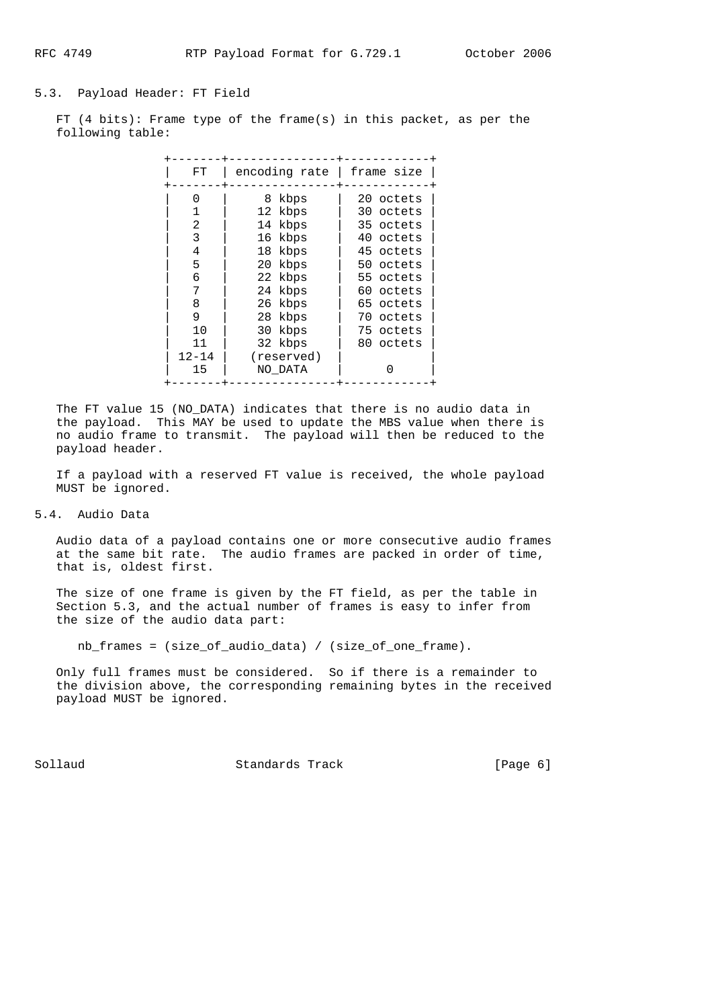#### 5.3. Payload Header: FT Field

 FT (4 bits): Frame type of the frame(s) in this packet, as per the following table:

| FT        | encoding rate | frame size |  |
|-----------|---------------|------------|--|
| 0         | 8 kbps        | 20 octets  |  |
|           | 12 kbps       | 30 octets  |  |
| 2         | 14 kbps       | 35 octets  |  |
| 3         | 16 kbps       | 40 octets  |  |
| 4         | 18 kbps       | 45 octets  |  |
| 5         | 20 kbps       | 50 octets  |  |
| 6         | 22 kbps       | 55 octets  |  |
| 7         | 24 kbps       | 60 octets  |  |
| 8         | 26 kbps       | 65 octets  |  |
| 9         | 28 kbps       | 70 octets  |  |
| 10        | 30 kbps       | 75 octets  |  |
| 11        | 32 kbps       | 80 octets  |  |
| $12 - 14$ | (reserved)    |            |  |
| 15        | NO DATA       |            |  |

 The FT value 15 (NO\_DATA) indicates that there is no audio data in the payload. This MAY be used to update the MBS value when there is no audio frame to transmit. The payload will then be reduced to the payload header.

 If a payload with a reserved FT value is received, the whole payload MUST be ignored.

## 5.4. Audio Data

 Audio data of a payload contains one or more consecutive audio frames at the same bit rate. The audio frames are packed in order of time, that is, oldest first.

 The size of one frame is given by the FT field, as per the table in Section 5.3, and the actual number of frames is easy to infer from the size of the audio data part:

nb\_frames = (size\_of\_audio\_data) / (size\_of\_one\_frame).

 Only full frames must be considered. So if there is a remainder to the division above, the corresponding remaining bytes in the received payload MUST be ignored.

Sollaud **Standards Track** [Page 6]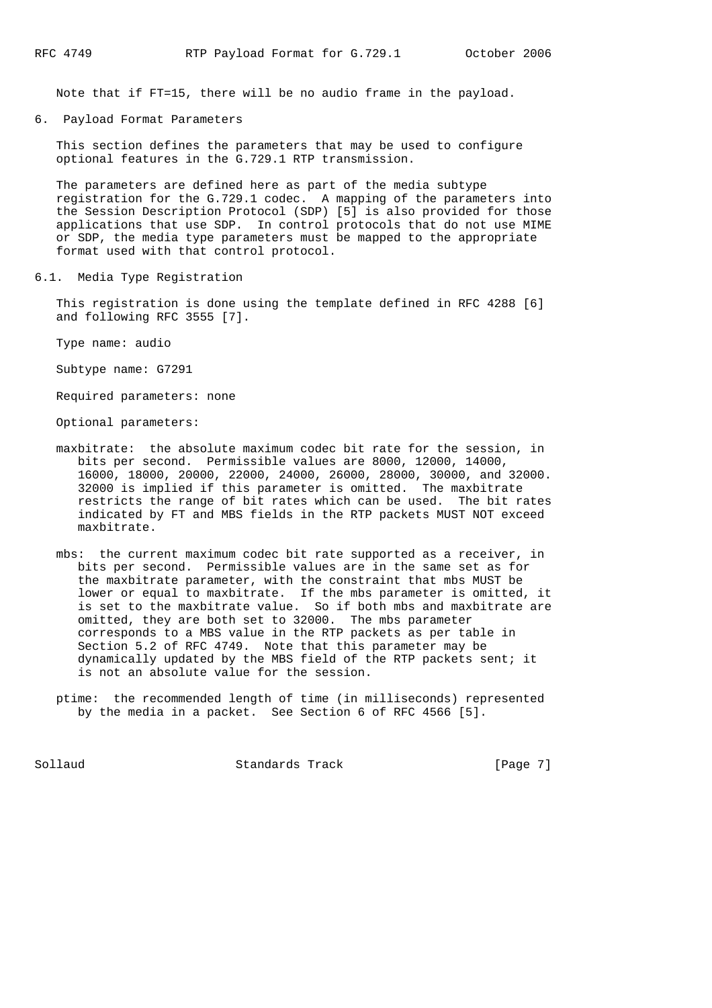Note that if FT=15, there will be no audio frame in the payload.

6. Payload Format Parameters

 This section defines the parameters that may be used to configure optional features in the G.729.1 RTP transmission.

 The parameters are defined here as part of the media subtype registration for the G.729.1 codec. A mapping of the parameters into the Session Description Protocol (SDP) [5] is also provided for those applications that use SDP. In control protocols that do not use MIME or SDP, the media type parameters must be mapped to the appropriate format used with that control protocol.

6.1. Media Type Registration

 This registration is done using the template defined in RFC 4288 [6] and following RFC 3555 [7].

Type name: audio

Subtype name: G7291

Required parameters: none

Optional parameters:

- maxbitrate: the absolute maximum codec bit rate for the session, in bits per second. Permissible values are 8000, 12000, 14000, 16000, 18000, 20000, 22000, 24000, 26000, 28000, 30000, and 32000. 32000 is implied if this parameter is omitted. The maxbitrate restricts the range of bit rates which can be used. The bit rates indicated by FT and MBS fields in the RTP packets MUST NOT exceed maxbitrate.
- mbs: the current maximum codec bit rate supported as a receiver, in bits per second. Permissible values are in the same set as for the maxbitrate parameter, with the constraint that mbs MUST be lower or equal to maxbitrate. If the mbs parameter is omitted, it is set to the maxbitrate value. So if both mbs and maxbitrate are omitted, they are both set to 32000. The mbs parameter corresponds to a MBS value in the RTP packets as per table in Section 5.2 of RFC 4749. Note that this parameter may be dynamically updated by the MBS field of the RTP packets sent; it is not an absolute value for the session.
- ptime: the recommended length of time (in milliseconds) represented by the media in a packet. See Section 6 of RFC 4566 [5].

Sollaud **Standards Track** [Page 7]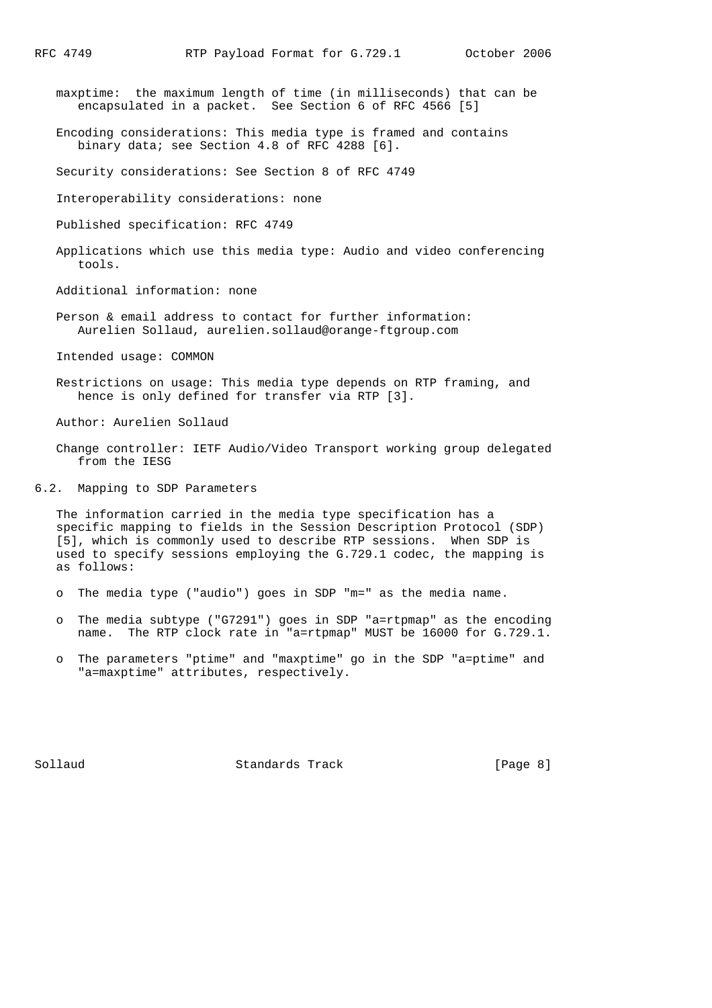- maxptime: the maximum length of time (in milliseconds) that can be encapsulated in a packet. See Section 6 of RFC 4566 [5]
- Encoding considerations: This media type is framed and contains binary data; see Section 4.8 of RFC 4288 [6].

Security considerations: See Section 8 of RFC 4749

Interoperability considerations: none

Published specification: RFC 4749

 Applications which use this media type: Audio and video conferencing tools.

Additional information: none

 Person & email address to contact for further information: Aurelien Sollaud, aurelien.sollaud@orange-ftgroup.com

Intended usage: COMMON

 Restrictions on usage: This media type depends on RTP framing, and hence is only defined for transfer via RTP [3].

Author: Aurelien Sollaud

- Change controller: IETF Audio/Video Transport working group delegated from the IESG
- 6.2. Mapping to SDP Parameters

 The information carried in the media type specification has a specific mapping to fields in the Session Description Protocol (SDP) [5], which is commonly used to describe RTP sessions. When SDP is used to specify sessions employing the G.729.1 codec, the mapping is as follows:

- o The media type ("audio") goes in SDP "m=" as the media name.
- o The media subtype ("G7291") goes in SDP "a=rtpmap" as the encoding name. The RTP clock rate in "a=rtpmap" MUST be 16000 for G.729.1.
- o The parameters "ptime" and "maxptime" go in the SDP "a=ptime" and "a=maxptime" attributes, respectively.

Sollaud **Standards Track** [Page 8]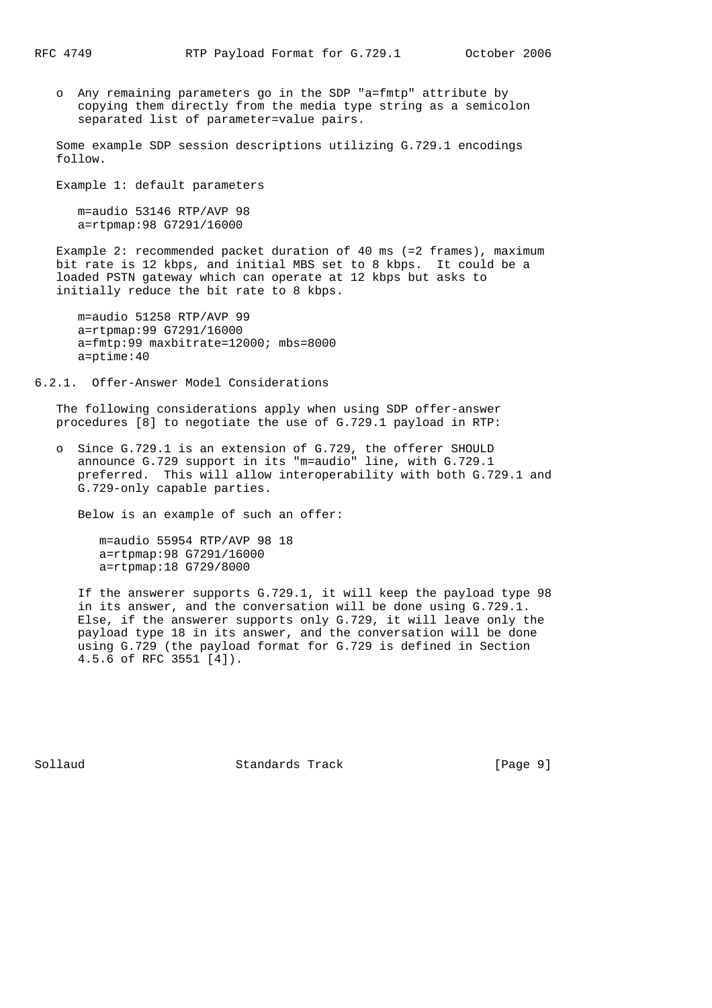o Any remaining parameters go in the SDP "a=fmtp" attribute by copying them directly from the media type string as a semicolon separated list of parameter=value pairs.

 Some example SDP session descriptions utilizing G.729.1 encodings follow.

Example 1: default parameters

 m=audio 53146 RTP/AVP 98 a=rtpmap:98 G7291/16000

 Example 2: recommended packet duration of 40 ms (=2 frames), maximum bit rate is 12 kbps, and initial MBS set to 8 kbps. It could be a loaded PSTN gateway which can operate at 12 kbps but asks to initially reduce the bit rate to 8 kbps.

 m=audio 51258 RTP/AVP 99 a=rtpmap:99 G7291/16000 a=fmtp:99 maxbitrate=12000; mbs=8000 a=ptime:40

### 6.2.1. Offer-Answer Model Considerations

 The following considerations apply when using SDP offer-answer procedures [8] to negotiate the use of G.729.1 payload in RTP:

 o Since G.729.1 is an extension of G.729, the offerer SHOULD announce G.729 support in its "m=audio" line, with G.729.1 preferred. This will allow interoperability with both G.729.1 and G.729-only capable parties.

Below is an example of such an offer:

 m=audio 55954 RTP/AVP 98 18 a=rtpmap:98 G7291/16000 a=rtpmap:18 G729/8000

 If the answerer supports G.729.1, it will keep the payload type 98 in its answer, and the conversation will be done using G.729.1. Else, if the answerer supports only G.729, it will leave only the payload type 18 in its answer, and the conversation will be done using G.729 (the payload format for G.729 is defined in Section 4.5.6 of RFC 3551 [4]).

Sollaud **Standards Track** [Page 9]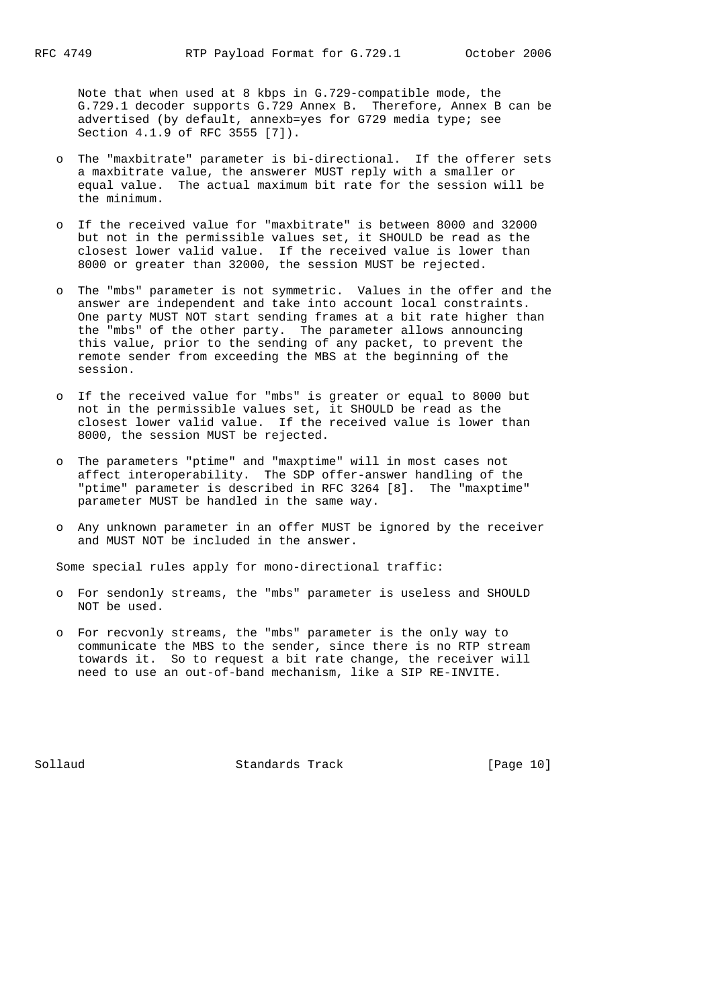Note that when used at 8 kbps in G.729-compatible mode, the G.729.1 decoder supports G.729 Annex B. Therefore, Annex B can be advertised (by default, annexb=yes for G729 media type; see Section 4.1.9 of RFC 3555 [7]).

- o The "maxbitrate" parameter is bi-directional. If the offerer sets a maxbitrate value, the answerer MUST reply with a smaller or equal value. The actual maximum bit rate for the session will be the minimum.
- If the received value for "maxbitrate" is between 8000 and 32000 but not in the permissible values set, it SHOULD be read as the closest lower valid value. If the received value is lower than 8000 or greater than 32000, the session MUST be rejected.
	- o The "mbs" parameter is not symmetric. Values in the offer and the answer are independent and take into account local constraints. One party MUST NOT start sending frames at a bit rate higher than the "mbs" of the other party. The parameter allows announcing this value, prior to the sending of any packet, to prevent the remote sender from exceeding the MBS at the beginning of the session.
	- o If the received value for "mbs" is greater or equal to 8000 but not in the permissible values set, it SHOULD be read as the closest lower valid value. If the received value is lower than 8000, the session MUST be rejected.
	- o The parameters "ptime" and "maxptime" will in most cases not affect interoperability. The SDP offer-answer handling of the "ptime" parameter is described in RFC 3264 [8]. The "maxptime" parameter MUST be handled in the same way.
	- o Any unknown parameter in an offer MUST be ignored by the receiver and MUST NOT be included in the answer.

Some special rules apply for mono-directional traffic:

- o For sendonly streams, the "mbs" parameter is useless and SHOULD NOT be used.
- o For recvonly streams, the "mbs" parameter is the only way to communicate the MBS to the sender, since there is no RTP stream towards it. So to request a bit rate change, the receiver will need to use an out-of-band mechanism, like a SIP RE-INVITE.

Sollaud Standards Track [Page 10]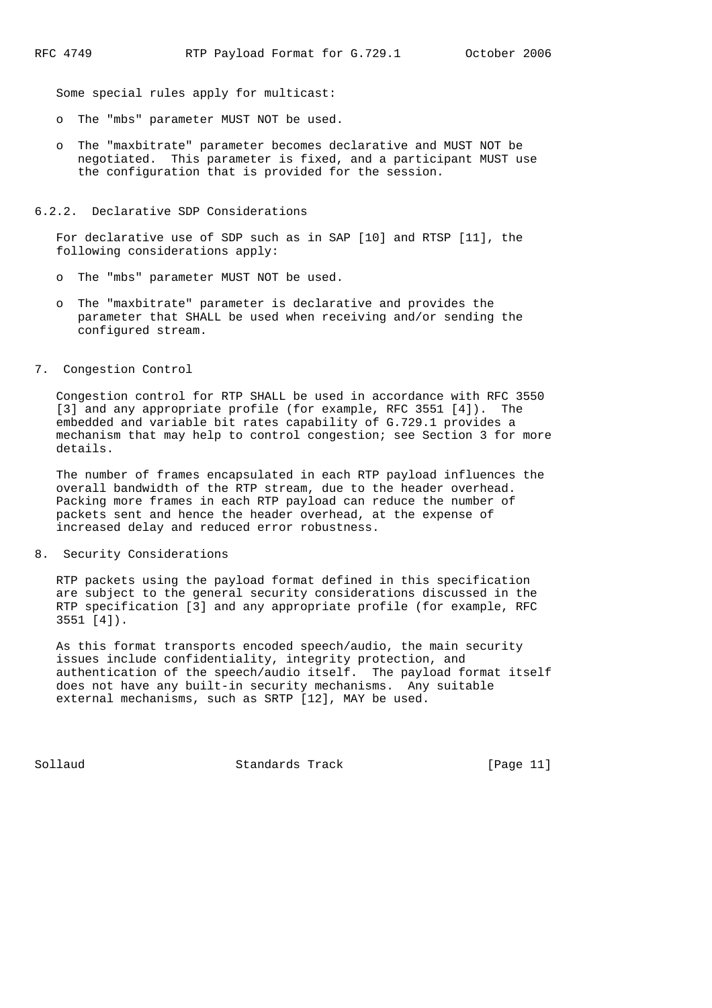Some special rules apply for multicast:

- o The "mbs" parameter MUST NOT be used.
- o The "maxbitrate" parameter becomes declarative and MUST NOT be negotiated. This parameter is fixed, and a participant MUST use the configuration that is provided for the session.
- 6.2.2. Declarative SDP Considerations

 For declarative use of SDP such as in SAP [10] and RTSP [11], the following considerations apply:

- o The "mbs" parameter MUST NOT be used.
- o The "maxbitrate" parameter is declarative and provides the parameter that SHALL be used when receiving and/or sending the configured stream.
- 7. Congestion Control

 Congestion control for RTP SHALL be used in accordance with RFC 3550 [3] and any appropriate profile (for example, RFC 3551 [4]). The embedded and variable bit rates capability of G.729.1 provides a mechanism that may help to control congestion; see Section 3 for more details.

 The number of frames encapsulated in each RTP payload influences the overall bandwidth of the RTP stream, due to the header overhead. Packing more frames in each RTP payload can reduce the number of packets sent and hence the header overhead, at the expense of increased delay and reduced error robustness.

8. Security Considerations

 RTP packets using the payload format defined in this specification are subject to the general security considerations discussed in the RTP specification [3] and any appropriate profile (for example, RFC 3551 [4]).

 As this format transports encoded speech/audio, the main security issues include confidentiality, integrity protection, and authentication of the speech/audio itself. The payload format itself does not have any built-in security mechanisms. Any suitable external mechanisms, such as SRTP [12], MAY be used.

Sollaud **Standards Track** [Page 11]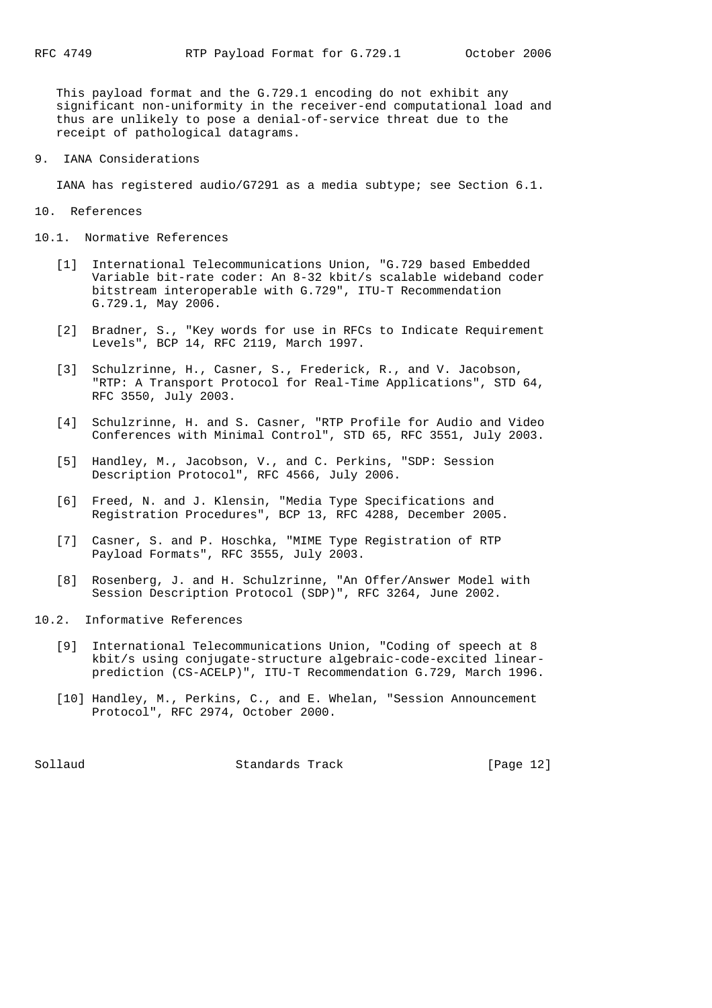This payload format and the G.729.1 encoding do not exhibit any significant non-uniformity in the receiver-end computational load and thus are unlikely to pose a denial-of-service threat due to the receipt of pathological datagrams.

9. IANA Considerations

IANA has registered audio/G7291 as a media subtype; see Section 6.1.

- 10. References
- 10.1. Normative References
	- [1] International Telecommunications Union, "G.729 based Embedded Variable bit-rate coder: An 8-32 kbit/s scalable wideband coder bitstream interoperable with G.729", ITU-T Recommendation G.729.1, May 2006.
	- [2] Bradner, S., "Key words for use in RFCs to Indicate Requirement Levels", BCP 14, RFC 2119, March 1997.
	- [3] Schulzrinne, H., Casner, S., Frederick, R., and V. Jacobson, "RTP: A Transport Protocol for Real-Time Applications", STD 64, RFC 3550, July 2003.
	- [4] Schulzrinne, H. and S. Casner, "RTP Profile for Audio and Video Conferences with Minimal Control", STD 65, RFC 3551, July 2003.
	- [5] Handley, M., Jacobson, V., and C. Perkins, "SDP: Session Description Protocol", RFC 4566, July 2006.
	- [6] Freed, N. and J. Klensin, "Media Type Specifications and Registration Procedures", BCP 13, RFC 4288, December 2005.
	- [7] Casner, S. and P. Hoschka, "MIME Type Registration of RTP Payload Formats", RFC 3555, July 2003.
	- [8] Rosenberg, J. and H. Schulzrinne, "An Offer/Answer Model with Session Description Protocol (SDP)", RFC 3264, June 2002.
- 10.2. Informative References
	- [9] International Telecommunications Union, "Coding of speech at 8 kbit/s using conjugate-structure algebraic-code-excited linear prediction (CS-ACELP)", ITU-T Recommendation G.729, March 1996.
	- [10] Handley, M., Perkins, C., and E. Whelan, "Session Announcement Protocol", RFC 2974, October 2000.

Sollaud **Standards Track** [Page 12]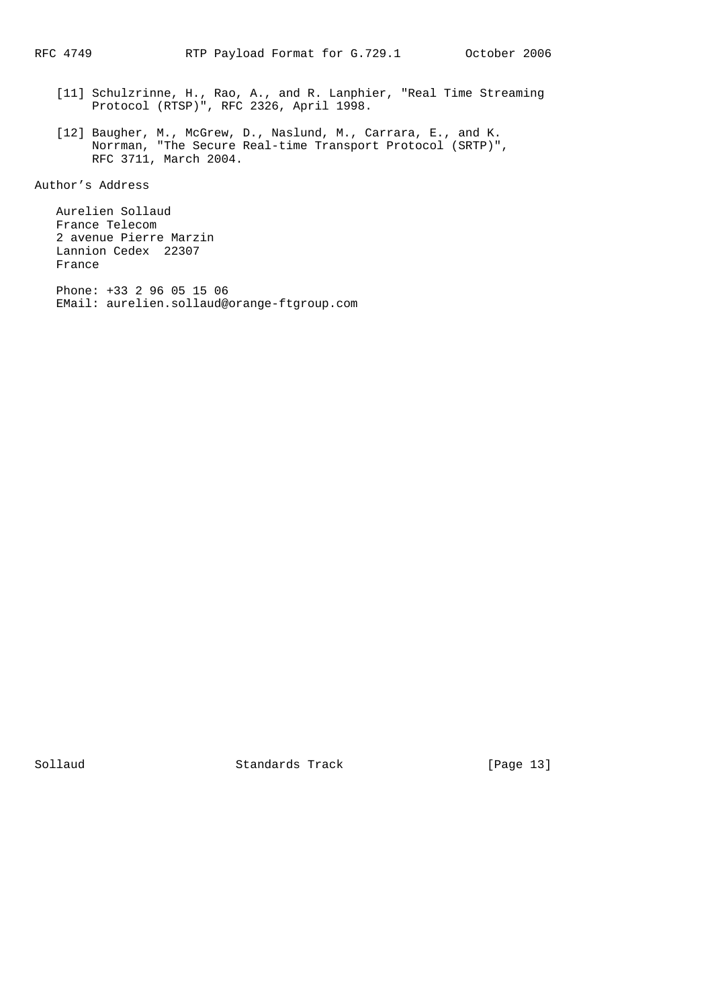- [11] Schulzrinne, H., Rao, A., and R. Lanphier, "Real Time Streaming Protocol (RTSP)", RFC 2326, April 1998.
- [12] Baugher, M., McGrew, D., Naslund, M., Carrara, E., and K. Norrman, "The Secure Real-time Transport Protocol (SRTP)", Norrman, the becare.

Author's Address

 Aurelien Sollaud France Telecom 2 avenue Pierre Marzin Lannion Cedex 22307 France

 Phone: +33 2 96 05 15 06 EMail: aurelien.sollaud@orange-ftgroup.com

Sollaud Standards Track [Page 13]